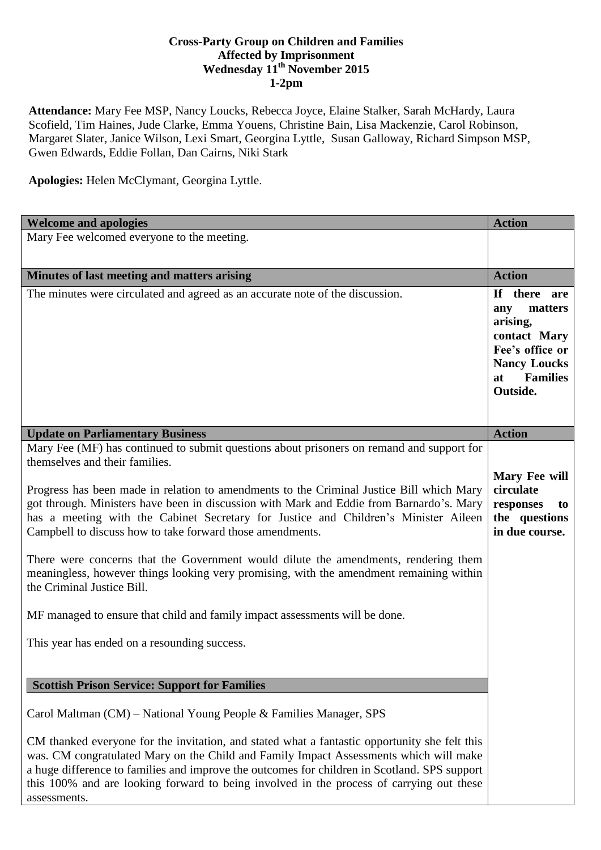## **Cross-Party Group on Children and Families Affected by Imprisonment Wednesday 11th November 2015 1-2pm**

**Attendance:** Mary Fee MSP, Nancy Loucks, Rebecca Joyce, Elaine Stalker, Sarah McHardy, Laura Scofield, Tim Haines, Jude Clarke, Emma Youens, Christine Bain, Lisa Mackenzie, Carol Robinson, Margaret Slater, Janice Wilson, Lexi Smart, Georgina Lyttle, Susan Galloway, Richard Simpson MSP, Gwen Edwards, Eddie Follan, Dan Cairns, Niki Stark

**Apologies:** Helen McClymant, Georgina Lyttle.

assessments.

| <b>Welcome and apologies</b>                                                                                                                                                                                                                                                                                                                                                                                                                                                                                                                                                                                                                                                                                                                                                                                           | <b>Action</b>                                                                                                                             |
|------------------------------------------------------------------------------------------------------------------------------------------------------------------------------------------------------------------------------------------------------------------------------------------------------------------------------------------------------------------------------------------------------------------------------------------------------------------------------------------------------------------------------------------------------------------------------------------------------------------------------------------------------------------------------------------------------------------------------------------------------------------------------------------------------------------------|-------------------------------------------------------------------------------------------------------------------------------------------|
| Mary Fee welcomed everyone to the meeting.                                                                                                                                                                                                                                                                                                                                                                                                                                                                                                                                                                                                                                                                                                                                                                             |                                                                                                                                           |
|                                                                                                                                                                                                                                                                                                                                                                                                                                                                                                                                                                                                                                                                                                                                                                                                                        |                                                                                                                                           |
| Minutes of last meeting and matters arising                                                                                                                                                                                                                                                                                                                                                                                                                                                                                                                                                                                                                                                                                                                                                                            | <b>Action</b>                                                                                                                             |
| The minutes were circulated and agreed as an accurate note of the discussion.                                                                                                                                                                                                                                                                                                                                                                                                                                                                                                                                                                                                                                                                                                                                          | If there are<br>matters<br>any<br>arising,<br>contact Mary<br>Fee's office or<br><b>Nancy Loucks</b><br><b>Families</b><br>at<br>Outside. |
| <b>Update on Parliamentary Business</b>                                                                                                                                                                                                                                                                                                                                                                                                                                                                                                                                                                                                                                                                                                                                                                                | <b>Action</b>                                                                                                                             |
| Mary Fee (MF) has continued to submit questions about prisoners on remand and support for<br>themselves and their families.<br>Progress has been made in relation to amendments to the Criminal Justice Bill which Mary<br>got through. Ministers have been in discussion with Mark and Eddie from Barnardo's. Mary<br>has a meeting with the Cabinet Secretary for Justice and Children's Minister Aileen<br>Campbell to discuss how to take forward those amendments.<br>There were concerns that the Government would dilute the amendments, rendering them<br>meaningless, however things looking very promising, with the amendment remaining within<br>the Criminal Justice Bill.<br>MF managed to ensure that child and family impact assessments will be done.<br>This year has ended on a resounding success. | Mary Fee will<br>circulate<br>responses<br>to<br>the questions<br>in due course.                                                          |
| <b>Scottish Prison Service: Support for Families</b>                                                                                                                                                                                                                                                                                                                                                                                                                                                                                                                                                                                                                                                                                                                                                                   |                                                                                                                                           |
|                                                                                                                                                                                                                                                                                                                                                                                                                                                                                                                                                                                                                                                                                                                                                                                                                        |                                                                                                                                           |
| Carol Maltman (CM) – National Young People & Families Manager, SPS                                                                                                                                                                                                                                                                                                                                                                                                                                                                                                                                                                                                                                                                                                                                                     |                                                                                                                                           |
| CM thanked everyone for the invitation, and stated what a fantastic opportunity she felt this<br>was. CM congratulated Mary on the Child and Family Impact Assessments which will make<br>a huge difference to families and improve the outcomes for children in Scotland. SPS support<br>this 100% and are looking forward to being involved in the process of carrying out these                                                                                                                                                                                                                                                                                                                                                                                                                                     |                                                                                                                                           |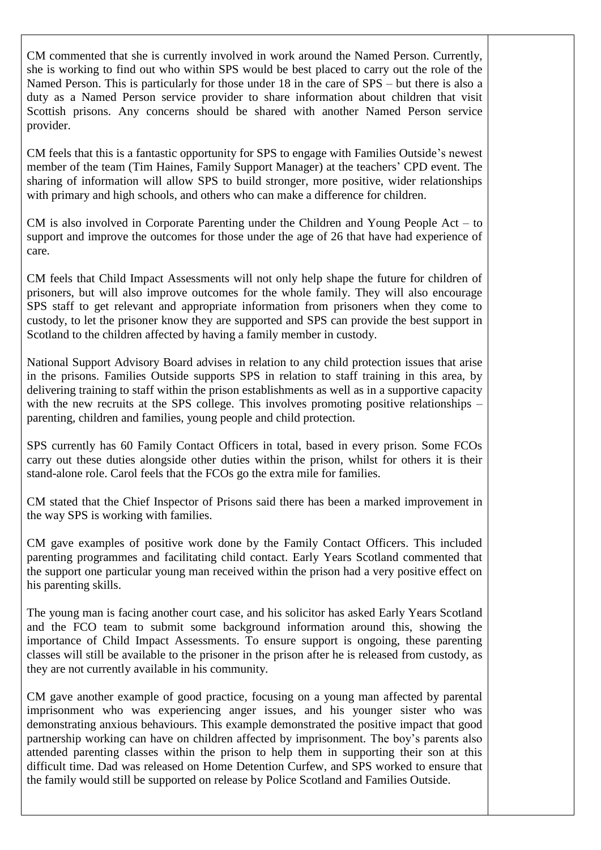CM commented that she is currently involved in work around the Named Person. Currently, she is working to find out who within SPS would be best placed to carry out the role of the Named Person. This is particularly for those under 18 in the care of SPS – but there is also a duty as a Named Person service provider to share information about children that visit Scottish prisons. Any concerns should be shared with another Named Person service provider.

CM feels that this is a fantastic opportunity for SPS to engage with Families Outside's newest member of the team (Tim Haines, Family Support Manager) at the teachers' CPD event. The sharing of information will allow SPS to build stronger, more positive, wider relationships with primary and high schools, and others who can make a difference for children.

CM is also involved in Corporate Parenting under the Children and Young People Act – to support and improve the outcomes for those under the age of 26 that have had experience of care.

CM feels that Child Impact Assessments will not only help shape the future for children of prisoners, but will also improve outcomes for the whole family. They will also encourage SPS staff to get relevant and appropriate information from prisoners when they come to custody, to let the prisoner know they are supported and SPS can provide the best support in Scotland to the children affected by having a family member in custody.

National Support Advisory Board advises in relation to any child protection issues that arise in the prisons. Families Outside supports SPS in relation to staff training in this area, by delivering training to staff within the prison establishments as well as in a supportive capacity with the new recruits at the SPS college. This involves promoting positive relationships – parenting, children and families, young people and child protection.

SPS currently has 60 Family Contact Officers in total, based in every prison. Some FCOs carry out these duties alongside other duties within the prison, whilst for others it is their stand-alone role. Carol feels that the FCOs go the extra mile for families.

CM stated that the Chief Inspector of Prisons said there has been a marked improvement in the way SPS is working with families.

CM gave examples of positive work done by the Family Contact Officers. This included parenting programmes and facilitating child contact. Early Years Scotland commented that the support one particular young man received within the prison had a very positive effect on his parenting skills.

The young man is facing another court case, and his solicitor has asked Early Years Scotland and the FCO team to submit some background information around this, showing the importance of Child Impact Assessments. To ensure support is ongoing, these parenting classes will still be available to the prisoner in the prison after he is released from custody, as they are not currently available in his community.

CM gave another example of good practice, focusing on a young man affected by parental imprisonment who was experiencing anger issues, and his younger sister who was demonstrating anxious behaviours. This example demonstrated the positive impact that good partnership working can have on children affected by imprisonment. The boy's parents also attended parenting classes within the prison to help them in supporting their son at this difficult time. Dad was released on Home Detention Curfew, and SPS worked to ensure that the family would still be supported on release by Police Scotland and Families Outside.